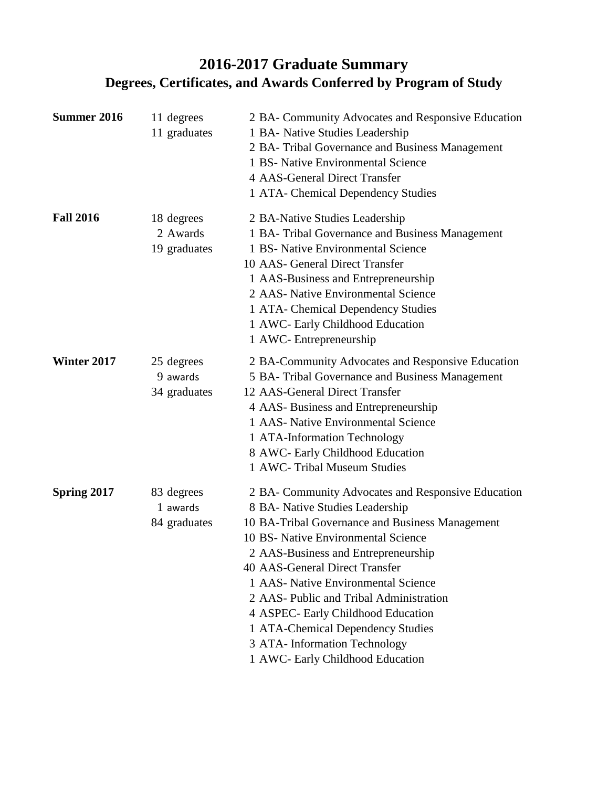# **2016-2017 Graduate Summary Degrees, Certificates, and Awards Conferred by Program of Study**

| Summer 2016        | 11 degrees<br>11 graduates             | 2 BA- Community Advocates and Responsive Education<br>1 BA- Native Studies Leadership<br>2 BA- Tribal Governance and Business Management<br>1 BS- Native Environmental Science<br><b>4 AAS-General Direct Transfer</b><br>1 ATA- Chemical Dependency Studies                                                                                                                                                                                                                               |
|--------------------|----------------------------------------|--------------------------------------------------------------------------------------------------------------------------------------------------------------------------------------------------------------------------------------------------------------------------------------------------------------------------------------------------------------------------------------------------------------------------------------------------------------------------------------------|
| <b>Fall 2016</b>   | 18 degrees<br>2 Awards<br>19 graduates | 2 BA-Native Studies Leadership<br>1 BA-Tribal Governance and Business Management<br>1 BS- Native Environmental Science<br>10 AAS- General Direct Transfer<br>1 AAS-Business and Entrepreneurship<br>2 AAS- Native Environmental Science<br>1 ATA- Chemical Dependency Studies<br>1 AWC- Early Childhood Education<br>1 AWC- Entrepreneurship                                                                                                                                               |
| Winter 2017        | 25 degrees<br>9 awards<br>34 graduates | 2 BA-Community Advocates and Responsive Education<br>5 BA- Tribal Governance and Business Management<br>12 AAS-General Direct Transfer<br>4 AAS-Business and Entrepreneurship<br>1 AAS- Native Environmental Science<br>1 ATA-Information Technology<br>8 AWC- Early Childhood Education<br>1 AWC- Tribal Museum Studies                                                                                                                                                                   |
| <b>Spring 2017</b> | 83 degrees<br>1 awards<br>84 graduates | 2 BA- Community Advocates and Responsive Education<br>8 BA- Native Studies Leadership<br>10 BA-Tribal Governance and Business Management<br>10 BS- Native Environmental Science<br>2 AAS-Business and Entrepreneurship<br>40 AAS-General Direct Transfer<br>1 AAS- Native Environmental Science<br>2 AAS- Public and Tribal Administration<br>4 ASPEC- Early Childhood Education<br>1 ATA-Chemical Dependency Studies<br>3 ATA- Information Technology<br>1 AWC- Early Childhood Education |